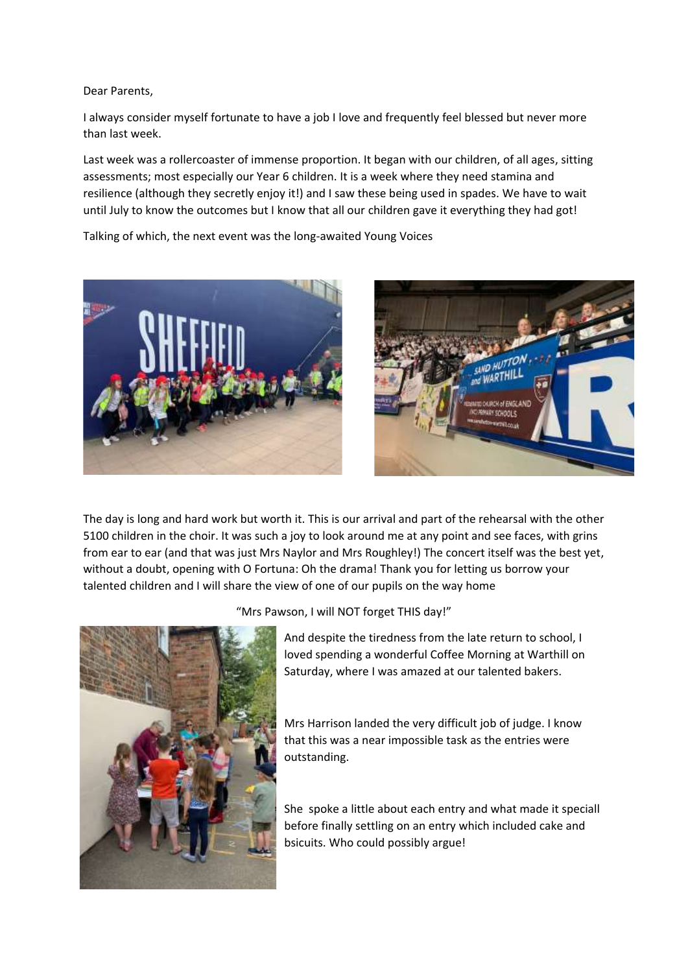Dear Parents,

I always consider myself fortunate to have a job I love and frequently feel blessed but never more than last week.

Last week was a rollercoaster of immense proportion. It began with our children, of all ages, sitting assessments; most especially our Year 6 children. It is a week where they need stamina and resilience (although they secretly enjoy it!) and I saw these being used in spades. We have to wait until July to know the outcomes but I know that all our children gave it everything they had got!

Talking of which, the next event was the long-awaited Young Voices





The day is long and hard work but worth it. This is our arrival and part of the rehearsal with the other 5100 children in the choir. It was such a joy to look around me at any point and see faces, with grins from ear to ear (and that was just Mrs Naylor and Mrs Roughley!) The concert itself was the best yet, without a doubt, opening with O Fortuna: Oh the drama! Thank you for letting us borrow your talented children and I will share the view of one of our pupils on the way home



"Mrs Pawson, I will NOT forget THIS day!"

And despite the tiredness from the late return to school, I loved spending a wonderful Coffee Morning at Warthill on Saturday, where I was amazed at our talented bakers.

Mrs Harrison landed the very difficult job of judge. I know that this was a near impossible task as the entries were outstanding.

She spoke a little about each entry and what made it speciall before finally settling on an entry which included cake and bsicuits. Who could possibly argue!